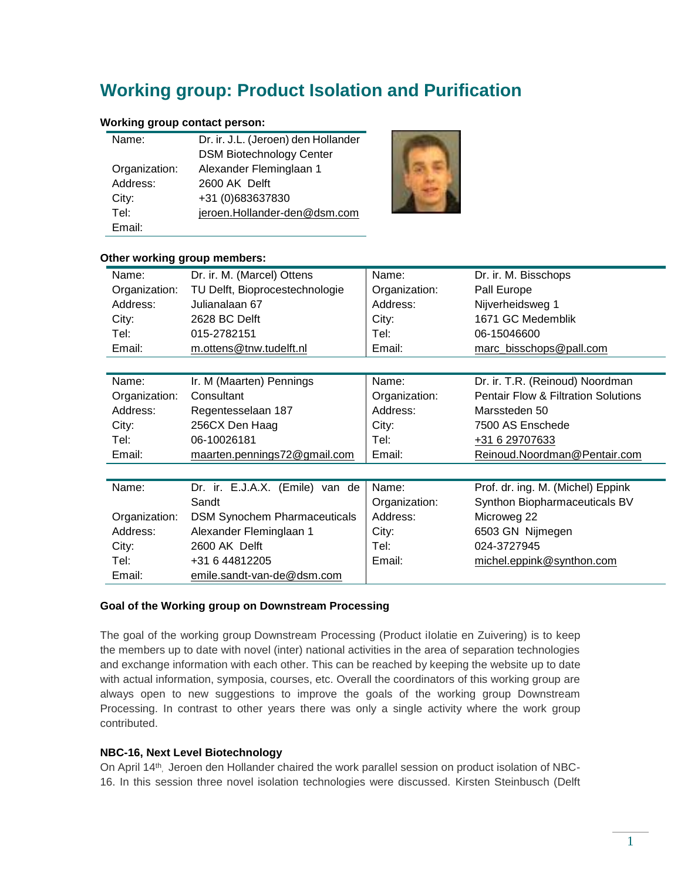# **Working group: Product Isolation and Purification**

## **Working group contact person:**

| Name:         | Dr. ir. J.L. (Jeroen) den Hollander |  |
|---------------|-------------------------------------|--|
|               | <b>DSM Biotechnology Center</b>     |  |
| Organization: | Alexander Fleminglaan 1             |  |
| Address:      | 2600 AK Delft                       |  |
| City:         | +31 (0)683637830                    |  |
| Tel:          | jeroen.Hollander-den@dsm.com        |  |
| Email:        |                                     |  |



#### **Other working group members:**

| Name:         | Dr. ir. M. (Marcel) Ottens          | Name:         | Dr. ir. M. Bisschops                           |
|---------------|-------------------------------------|---------------|------------------------------------------------|
| Organization: | TU Delft, Bioprocestechnologie      | Organization: | Pall Europe                                    |
| Address:      | Julianalaan 67                      | Address:      | Nijverheidsweg 1                               |
| City:         | 2628 BC Delft                       | City:         | 1671 GC Medemblik                              |
| Tel:          | 015-2782151                         | Tel:          | 06-15046600                                    |
| Email:        | m.ottens@tnw.tudelft.nl             | Email:        | marc_bisschops@pall.com                        |
|               |                                     |               |                                                |
| Name:         | Ir. M (Maarten) Pennings            | Name:         | Dr. ir. T.R. (Reinoud) Noordman                |
| Organization: | Consultant                          | Organization: | <b>Pentair Flow &amp; Filtration Solutions</b> |
| Address:      | Regentesselaan 187                  | Address:      | Marssteden 50                                  |
| City:         | 256CX Den Haag                      | City:         | 7500 AS Enschede                               |
| Tel:          | 06-10026181                         | Tel:          | +31 6 29707633                                 |
| Email:        | maarten.pennings72@gmail.com        | Email:        | Reinoud.Noordman@Pentair.com                   |
|               |                                     |               |                                                |
| Name:         | Dr. ir. E.J.A.X. (Emile) van de     | Name:         | Prof. dr. ing. M. (Michel) Eppink              |
|               | Sandt                               | Organization: | Synthon Biopharmaceuticals BV                  |
| Organization: | <b>DSM Synochem Pharmaceuticals</b> | Address:      | Microweg 22                                    |
| Address:      | Alexander Fleminglaan 1             | City:         | 6503 GN Nijmegen                               |
| City:         | 2600 AK Delft                       | Tel:          | 024-3727945                                    |
| Tel:          | +31 6 44812205                      | Email:        | michel.eppink@synthon.com                      |
| Email:        | emile.sandt-van-de@dsm.com          |               |                                                |

### **Goal of the Working group on Downstream Processing**

The goal of the working group Downstream Processing (Product ilolatie en Zuivering) is to keep the members up to date with novel (inter) national activities in the area of separation technologies and exchange information with each other. This can be reached by keeping the website up to date with actual information, symposia, courses, etc. Overall the coordinators of this working group are always open to new suggestions to improve the goals of the working group Downstream Processing. In contrast to other years there was only a single activity where the work group contributed.

### **NBC-16, Next Level Biotechnology**

On April 14<sup>th</sup>, Jeroen den Hollander chaired the work parallel session on product isolation of NBC-16. In this session three novel isolation technologies were discussed. Kirsten Steinbusch (Delft